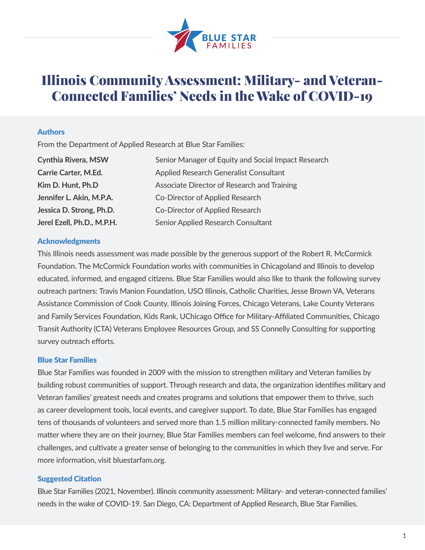

# Illinois Community Assessment: Military- and Veteran-Connected Families' Needs in the Wake of COVID-19

### Authors

From the Department of Applied Research at Blue Star Families:

| <b>Cynthia Rivera, MSW</b>  | Senior Manager of Equity and Social Impact Research |
|-----------------------------|-----------------------------------------------------|
| <b>Carrie Carter, M.Ed.</b> | Applied Research Generalist Consultant              |
| Kim D. Hunt, Ph.D           | Associate Director of Research and Training         |
| Jennifer L. Akin, M.P.A.    | Co-Director of Applied Research                     |
| Jessica D. Strong, Ph.D.    | Co-Director of Applied Research                     |
| Jerel Ezell, Ph.D., M.P.H.  | Senior Applied Research Consultant                  |

### **Acknowledgments**

This Illinois needs assessment was made possible by the generous support of the Robert R. McCormick Foundation. The McCormick Foundation works with communities in Chicagoland and Illinois to develop educated, informed, and engaged citizens. Blue Star Families would also like to thank the following survey outreach partners: Travis Manion Foundation, USO Illinois, Catholic Charities, Jesse Brown VA, Veterans Assistance Commission of Cook County, Illinois Joining Forces, Chicago Veterans, Lake County Veterans and Family Services Foundation, Kids Rank, UChicago Office for Military-Affiliated Communities, Chicago Transit Authority (CTA) Veterans Employee Resources Group, and SS Connelly Consulting for supporting survey outreach efforts.

### Blue Star Families

Blue Star Families was founded in 2009 with the mission to strengthen military and Veteran families by building robust communities of support. Through research and data, the organization identifies military and Veteran families' greatest needs and creates programs and solutions that empower them to thrive, such as career development tools, local events, and caregiver support. To date, Blue Star Families has engaged tens of thousands of volunteers and served more than 1.5 million military-connected family members. No matter where they are on their journey, Blue Star Families members can feel welcome, find answers to their challenges, and cultivate a greater sense of belonging to the communities in which they live and serve. For more information, visit bluestarfam.org.

### Suggested Citation

Blue Star Families (2021, November). Illinois community assessment: Military- and veteran-connected families' needs in the wake of COVID-19. San Diego, CA: Department of Applied Research, Blue Star Families.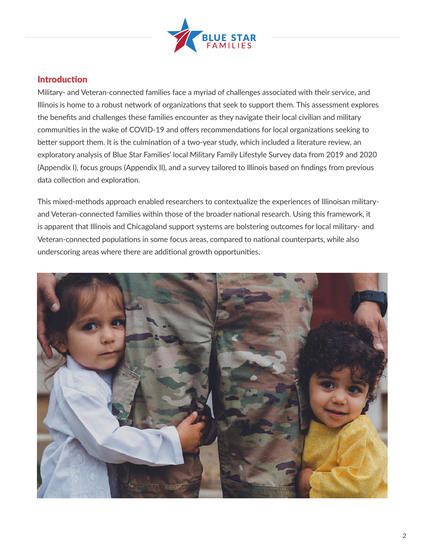

# Introduction

Military- and Veteran-connected families face a myriad of challenges associated with their service, and Illinois is home to a robust network of organizations that seek to support them. This assessment explores the benefits and challenges these families encounter as they navigate their local civilian and military communities in the wake of COVID-19 and offers recommendations for local organizations seeking to better support them. It is the culmination of a two-year study, which included a literature review, an exploratory analysis of Blue Star Families' local Military Family Lifestyle Survey data from 2019 and 2020 ([Appendix I](https://bluestarfam.org/wp-content/uploads/2021/05/BSF_CHI_ExpAnalysis_Report_2021-compressed.pdf)), focus groups ([Appendix II](https://bluestarfam.org/wp-content/uploads/2021/07/BSF_CHI_FocusGroup_Report_2021.pdf)), and a survey tailored to Illinois based on findings from previous data collection and exploration.

This mixed-methods approach enabled researchers to contextualize the experiences of Illinoisan militaryand Veteran-connected families within those of the broader national research. Using this framework, it is apparent that Illinois and Chicagoland support systems are bolstering outcomes for local military- and Veteran-connected populations in some focus areas, compared to national counterparts, while also underscoring areas where there are additional growth opportunities.

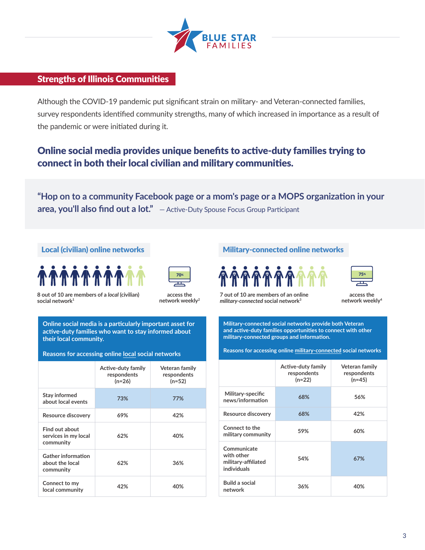

# Strengths of Illinois Communities

Although the COVID-19 pandemic put significant strain on military- and Veteran-connected families, survey respondents identified community strengths, many of which increased in importance as a result of the pandemic or were initiated during it.

# Online social media provides unique benefits to active-duty families trying to connect in both their local civilian and military communities.

**"Hop on to a community Facebook page or a mom's page or a MOPS organization in your area, you'll also find out a lot."** — Active-Duty Spouse Focus Group Participant

### Local (civilian) online networks



**8 out of 10 are members of a** *local* **(civilian) social network<sup>1</sup>**

**access the network weekly<sup>2</sup>**

70%

**Online social media is a particularly important asset for active-duty families who want to stay informed about their local community.**

**Reasons for accessing online local social networks**

|                                                           | Active-duty family<br>respondents<br>$(n=26)$ | Veteran family<br>respondents<br>$(n=52)$ |
|-----------------------------------------------------------|-----------------------------------------------|-------------------------------------------|
| <b>Stay informed</b><br>about local events                | 73%                                           | 77%                                       |
| Resource discovery                                        | 69%                                           | 42%                                       |
| Find out about<br>services in my local<br>community       | 62%                                           | 40%                                       |
| <b>Gather information</b><br>about the local<br>community | 62%                                           | 36%                                       |
| Connect to my<br>local community                          | 42%                                           | 40%                                       |

### Military-connected online networks





**7 out of 10 are members of an online**  *military-connected* **social network<sup>3</sup>**

**access the network weekly4**

**Military-connected social networks provide both Veteran and active-duty families opportunities to connect with other military-connected groups and information.**

**Reasons for accessing online military-connected social networks**

|                                                                 | <b>Active-duty family</b><br>respondents<br>$(n=22)$ | Veteran family<br>respondents<br>$(n=45)$ |
|-----------------------------------------------------------------|------------------------------------------------------|-------------------------------------------|
| Military-specific<br>news/information                           | 68%                                                  | 56%                                       |
| Resource discovery                                              | 68%                                                  | 42%                                       |
| Connect to the<br>military community                            | 59%                                                  | 60%                                       |
| Communicate<br>with other<br>military-affiliated<br>individuals | 54%                                                  | 67%                                       |
| Build a social<br>network                                       | 36%                                                  | 40%                                       |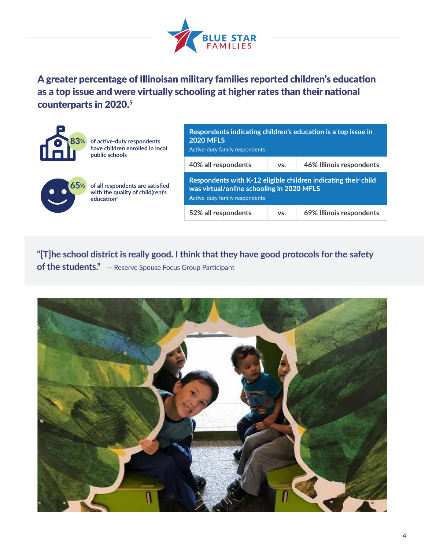

A greater percentage of Illinoisan military families reported children's education as a top issue and were virtually schooling at higher rates than their national counterparts in 2020.<sup>5</sup>

| $1 - \frac{3^{183}}{1}$<br>of active-duty respondents<br>have children enrolled in local<br>public schools | Respondents indicating children's education is a top issue in<br><b>2020 MFLS</b><br>Active-duty family respondents                           |     |                          |
|------------------------------------------------------------------------------------------------------------|-----------------------------------------------------------------------------------------------------------------------------------------------|-----|--------------------------|
|                                                                                                            | 40% all respondents                                                                                                                           | VS. | 46% Illinois respondents |
| 6 65%<br>of all respondents are satisfied<br>with the quality of child(ren)'s<br>education <sup>6</sup>    | Respondents with K-12 eligible children indicating their child<br>was virtual/online schooling in 2020 MFLS<br>Active-duty family respondents |     |                          |
|                                                                                                            | 52% all respondents                                                                                                                           | VS. | 69% Illinois respondents |

**"[T]he school district is really good. I think that they have good protocols for the safety of the students."** — Reserve Spouse Focus Group Participant

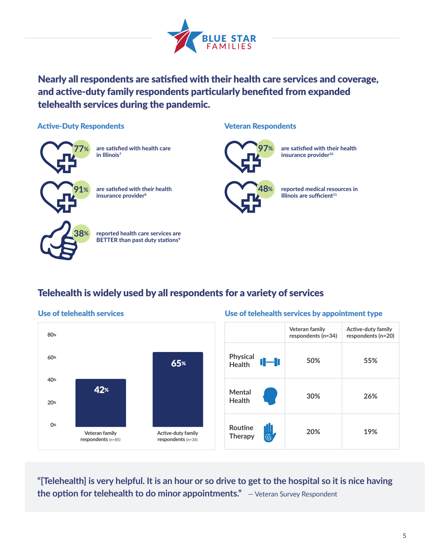

Nearly all respondents are satisfied with their health care services and coverage, and active-duty family respondents particularly benefited from expanded telehealth services during the pandemic.

### Active-Duty Respondents



**are satisfied with health care in Illinois7**



**are satisfied with their health insurance provider8**

# **38%**

**reported health care services are BETTER than past duty stations<sup>9</sup>**

### Veteran Respondents



**are satisfied with their health insurance provider10**

**48% reported medical resources in Illinois are sufficient<sup>11</sup>**

# Telehealth is widely used by all respondents for a variety of services

### Use of telehealth services



# Use of telehealth services by appointment type

**"[Telehealth] is very helpful. It is an hour or so drive to get to the hospital so it is nice having the option for telehealth to do minor appointments."** - Veteran Survey Respondent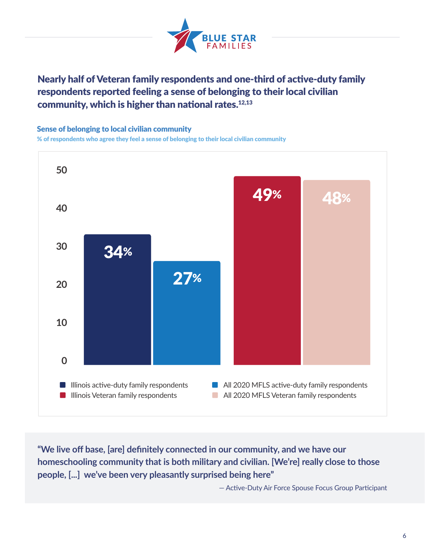

# Nearly half of Veteran family respondents and one-third of active-duty family respondents reported feeling a sense of belonging to their local civilian community, which is higher than national rates.12,13

### Sense of belonging to local civilian community

% of respondents who agree they feel a sense of belonging to their local civilian community



**"We live off base, [are] definitely connected in our community, and we have our homeschooling community that is both military and civilian. [We're] really close to those people, [...] we've been very pleasantly surprised being here"**

— Active-Duty Air Force Spouse Focus Group Participant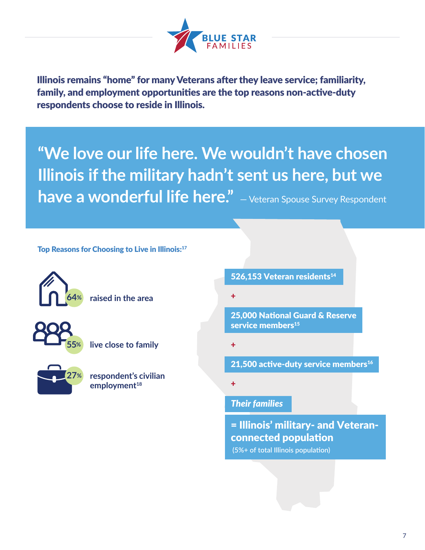

Illinois remains "home" for many Veterans after they leave service; familiarity, family, and employment opportunities are the top reasons non-active-duty respondents choose to reside in Illinois.

**"We love our life here. We wouldn't have chosen Illinois if the military hadn't sent us here, but we have a wonderful life here."** - Veteran Spouse Survey Respondent

### Top Reasons for Choosing to Live in Illinois:<sup>17</sup>



**64% raised in the area**



**live close to family** 



**respondent's civilian**  employment<sup>18</sup>

526,153 Veteran residents<sup>14</sup>

+

25,000 National Guard & Reserve service members<sup>15</sup>

+

21,500 active-duty service members<sup>16</sup>

+

# *Their families*

= Illinois' military- and Veteranconnected population

 **(5%+ of total Illinois population)**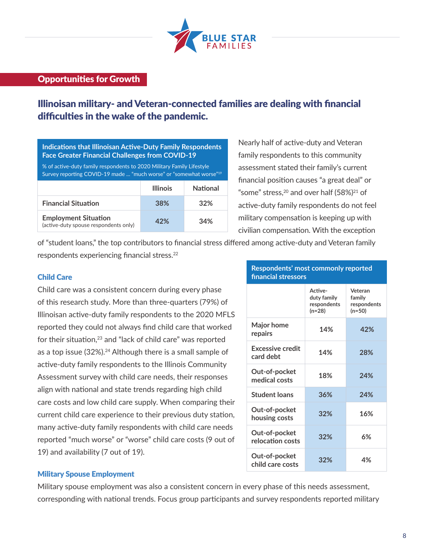

## Opportunities for Growth

# Illinoisan military- and Veteran-connected families are dealing with financial difficulties in the wake of the pandemic.

| Indications that Illinoisan Active-Duty Family Respondents<br><b>Face Greater Financial Challenges from COVID-19</b><br>% of active-duty family respondents to 2020 Military Family Lifestyle<br>Survey reporting COVID-19 made  "much worse" or "somewhat worse" <sup>19</sup> |                 |                 |  |
|---------------------------------------------------------------------------------------------------------------------------------------------------------------------------------------------------------------------------------------------------------------------------------|-----------------|-----------------|--|
|                                                                                                                                                                                                                                                                                 | <b>Illinois</b> | <b>National</b> |  |
| <b>Financial Situation</b>                                                                                                                                                                                                                                                      | 38%             | 32%             |  |
| <b>Employment Situation</b><br>(active-duty spouse respondents only)                                                                                                                                                                                                            | 42%             | 34%             |  |

Nearly half of active-duty and Veteran family respondents to this community assessment stated their family's current financial position causes "a great deal" or "some" stress, $20$  and over half (58%) $21$  of active-duty family respondents do not feel military compensation is keeping up with civilian compensation. With the exception

**Respondents' most commonly reported** 

of "student loans," the top contributors to financial stress differed among active-duty and Veteran family respondents experiencing financial stress.<sup>22</sup>

### Child Care

Child care was a consistent concern during every phase of this research study. More than three-quarters (79%) of Illinoisan active-duty family respondents to the 2020 MFLS reported they could not always find child care that worked for their situation,<sup>23</sup> and "lack of child care" was reported as a top issue (32%).<sup>24</sup> Although there is a small sample of active-duty family respondents to the Illinois Community Assessment survey with child care needs, their responses align with national and state trends regarding high child care costs and low child care supply. When comparing their current child care experience to their previous duty station, many active-duty family respondents with child care needs reported "much worse" or "worse" child care costs (9 out of 19) and availability (7 out of 19).

| <b>financial stressors</b>           |                                                   |                                              |
|--------------------------------------|---------------------------------------------------|----------------------------------------------|
|                                      | Active-<br>duty family<br>respondents<br>$(n=28)$ | Veteran<br>family<br>respondents<br>$(n=50)$ |
| Major home<br>repairs                | 14%                                               | 42%                                          |
| <b>Excessive credit</b><br>card debt | 14%                                               | 28%                                          |
| Out-of-pocket<br>medical costs       | 18%                                               | 24%                                          |
| <b>Student loans</b>                 | 36%                                               | 24%                                          |
| Out-of-pocket<br>housing costs       | 32%                                               | 16%                                          |
| Out-of-pocket<br>relocation costs    | 32%                                               | 6%                                           |
| Out-of-pocket<br>child care costs    | 32%                                               | 4%                                           |

### Military Spouse Employment

Military spouse employment was also a consistent concern in every phase of this needs assessment, corresponding with national trends. Focus group participants and survey respondents reported military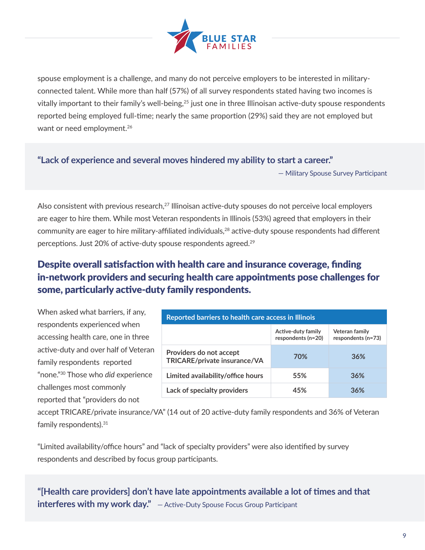

spouse employment is a challenge, and many do not perceive employers to be interested in militaryconnected talent. While more than half (57%) of all survey respondents stated having two incomes is vitally important to their family's well-being,<sup>25</sup> just one in three Illinoisan active-duty spouse respondents reported being employed full-time; nearly the same proportion (29%) said they are not employed but want or need employment.<sup>26</sup>

# **"Lack of experience and several moves hindered my ability to start a career."**

— Military Spouse Survey Participant

Also consistent with previous research,<sup>27</sup> Illinoisan active-duty spouses do not perceive local employers are eager to hire them. While most Veteran respondents in Illinois (53%) agreed that employers in their community are eager to hire military-affiliated individuals,<sup>28</sup> active-duty spouse respondents had different perceptions. Just 20% of active-duty spouse respondents agreed.<sup>29</sup>

# Despite overall satisfaction with health care and insurance coverage, finding in-network providers and securing health care appointments pose challenges for some, particularly active-duty family respondents.

When asked what barriers, if any, respondents experienced when accessing health care, one in three active-duty and over half of Veteran family respondents reported "none."30 Those who *did* experience challenges most commonly reported that "providers do not

| Reported barriers to health care access in Illinois     |                                          |                                      |  |
|---------------------------------------------------------|------------------------------------------|--------------------------------------|--|
|                                                         | Active-duty family<br>respondents (n=20) | Veteran family<br>respondents (n=73) |  |
| Providers do not accept<br>TRICARE/private insurance/VA | 70%                                      | 36%                                  |  |
| Limited availability/office hours                       | 55%                                      | 36%                                  |  |
| Lack of specialty providers                             | 45%                                      | 36%                                  |  |

accept TRICARE/private insurance/VA" (14 out of 20 active-duty family respondents and 36% of Veteran family respondents).<sup>31</sup>

"Limited availability/office hours" and "lack of specialty providers" were also identified by survey respondents and described by focus group participants.

**"[Health care providers] don't have late appointments available a lot of times and that interferes with my work day."** - Active-Duty Spouse Focus Group Participant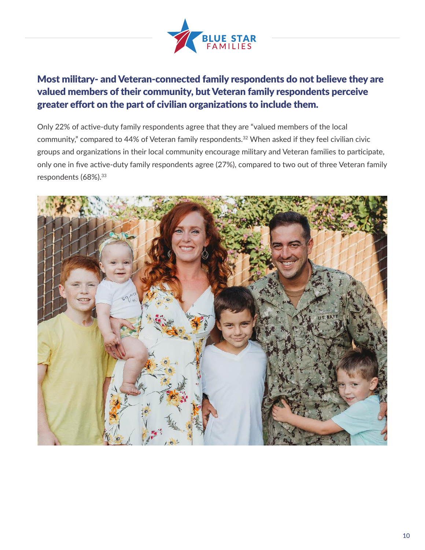

# Most military- and Veteran-connected family respondents do not believe they are valued members of their community, but Veteran family respondents perceive greater effort on the part of civilian organizations to include them.

Only 22% of active-duty family respondents agree that they are "valued members of the local community," compared to 44% of Veteran family respondents.<sup>32</sup> When asked if they feel civilian civic groups and organizations in their local community encourage military and Veteran families to participate, only one in five active-duty family respondents agree (27%), compared to two out of three Veteran family respondents (68%).<sup>33</sup>

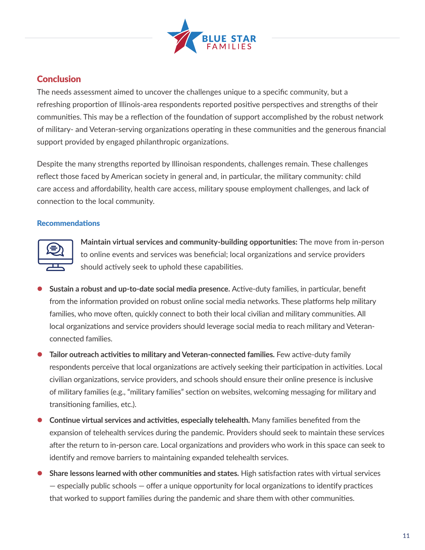

# **Conclusion**

The needs assessment aimed to uncover the challenges unique to a specific community, but a refreshing proportion of Illinois-area respondents reported positive perspectives and strengths of their communities. This may be a reflection of the foundation of support accomplished by the robust network of military- and Veteran-serving organizations operating in these communities and the generous financial support provided by engaged philanthropic organizations.

Despite the many strengths reported by Illinoisan respondents, challenges remain. These challenges reflect those faced by American society in general and, in particular, the military community: child care access and affordability, health care access, military spouse employment challenges, and lack of connection to the local community.

# Recommendations



**Maintain virtual services and community-building opportunities:** The move from in-person to online events and services was beneficial; local organizations and service providers should actively seek to uphold these capabilities.

- l **Sustain a robust and up-to-date social media presence.** Active-duty families, in particular, benefit from the information provided on robust online social media networks. These platforms help military families, who move often, quickly connect to both their local civilian and military communities. All local organizations and service providers should leverage social media to reach military and Veteranconnected families.
- l **Tailor outreach activities to military and Veteran-connected families.** Few active-duty family respondents perceive that local organizations are actively seeking their participation in activities. Local civilian organizations, service providers, and schools should ensure their online presence is inclusive of military families (e.g., "military families" section on websites, welcoming messaging for military and transitioning families, etc.).
- l **Continue virtual services and activities, especially telehealth.** Many families benefited from the expansion of telehealth services during the pandemic. Providers should seek to maintain these services after the return to in-person care. Local organizations and providers who work in this space can seek to identify and remove barriers to maintaining expanded telehealth services.
- l **Share lessons learned with other communities and states.** High satisfaction rates with virtual services  $-$  especially public schools  $-$  offer a unique opportunity for local organizations to identify practices that worked to support families during the pandemic and share them with other communities.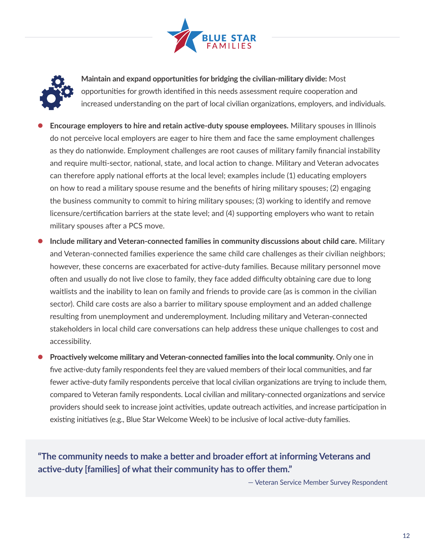



**Maintain and expand opportunities for bridging the civilian-military divide:** Most opportunities for growth identified in this needs assessment require cooperation and increased understanding on the part of local civilian organizations, employers, and individuals.

- l **Encourage employers to hire and retain active-duty spouse employees.** Military spouses in Illinois do not perceive local employers are eager to hire them and face the same employment challenges as they do nationwide. Employment challenges are root causes of military family financial instability and require multi-sector, national, state, and local action to change. Military and Veteran advocates can therefore apply national efforts at the local level; examples include (1) educating employers on how to read a military spouse resume and the benefits of hiring military spouses; (2) engaging the business community to commit to hiring military spouses; (3) working to identify and remove licensure/certification barriers at the state level; and (4) supporting employers who want to retain military spouses after a PCS move.
- l **Include military and Veteran-connected families in community discussions about child care.** Military and Veteran-connected families experience the same child care challenges as their civilian neighbors; however, these concerns are exacerbated for active-duty families. Because military personnel move often and usually do not live close to family, they face added difficulty obtaining care due to long waitlists and the inability to lean on family and friends to provide care (as is common in the civilian sector). Child care costs are also a barrier to military spouse employment and an added challenge resulting from unemployment and underemployment. Including military and Veteran-connected stakeholders in local child care conversations can help address these unique challenges to cost and accessibility.
- l **Proactively welcome military and Veteran-connected families into the local community.** Only one in five active-duty family respondents feel they are valued members of their local communities, and far fewer active-duty family respondents perceive that local civilian organizations are trying to include them, compared to Veteran family respondents. Local civilian and military-connected organizations and service providers should seek to increase joint activities, update outreach activities, and increase participation in existing initiatives (e.g., Blue Star Welcome Week) to be inclusive of local active-duty families.

**"The community needs to make a better and broader effort at informing Veterans and active-duty [families] of what their community has to offer them."**

— Veteran Service Member Survey Respondent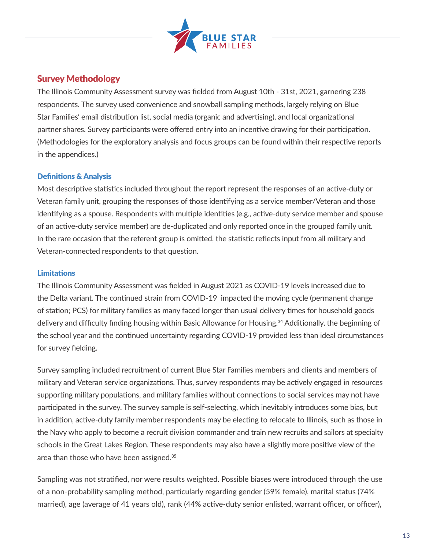

# Survey Methodology

The Illinois Community Assessment survey was fielded from August 10th - 31st, 2021, garnering 238 respondents. The survey used convenience and snowball sampling methods, largely relying on Blue Star Families' email distribution list, social media (organic and advertising), and local organizational partner shares. Survey participants were offered entry into an incentive drawing for their participation. (Methodologies for the exploratory analysis and focus groups can be found within their respective reports in the appendices.)

# Definitions & Analysis

Most descriptive statistics included throughout the report represent the responses of an active-duty or Veteran family unit, grouping the responses of those identifying as a service member/Veteran and those identifying as a spouse. Respondents with multiple identities (e.g., active-duty service member and spouse of an active-duty service member) are de-duplicated and only reported once in the grouped family unit. In the rare occasion that the referent group is omitted, the statistic reflects input from all military and Veteran-connected respondents to that question.

# Limitations

The Illinois Community Assessment was fielded in August 2021 as COVID-19 levels increased due to the Delta variant. The continued strain from COVID-19 impacted the moving cycle (permanent change of station; PCS) for military families as many faced longer than usual delivery times for household goods delivery and difficulty finding housing within Basic Allowance for Housing.34 Additionally, the beginning of the school year and the continued uncertainty regarding COVID-19 provided less than ideal circumstances for survey fielding.

Survey sampling included recruitment of current Blue Star Families members and clients and members of military and Veteran service organizations. Thus, survey respondents may be actively engaged in resources supporting military populations, and military families without connections to social services may not have participated in the survey. The survey sample is self-selecting, which inevitably introduces some bias, but in addition, active-duty family member respondents may be electing to relocate to Illinois, such as those in the Navy who apply to become a recruit division commander and train new recruits and sailors at specialty schools in the Great Lakes Region. These respondents may also have a slightly more positive view of the area than those who have been assigned.35

Sampling was not stratified, nor were results weighted. Possible biases were introduced through the use of a non-probability sampling method, particularly regarding gender (59% female), marital status (74% married), age (average of 41 years old), rank (44% active-duty senior enlisted, warrant officer, or officer),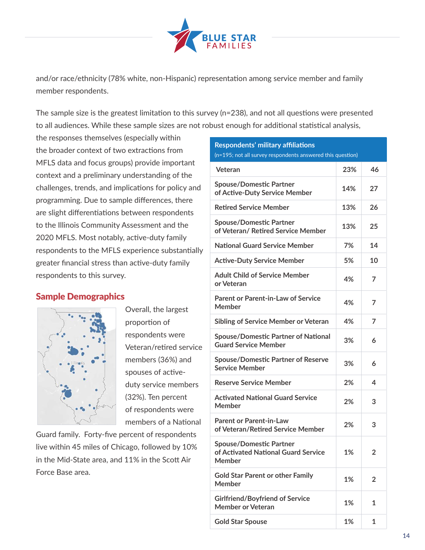

and/or race/ethnicity (78% white, non-Hispanic) representation among service member and family member respondents.

The sample size is the greatest limitation to this survey (n=238), and not all questions were presented to all audiences. While these sample sizes are not robust enough for additional statistical analysis,

the responses themselves (especially within the broader context of two extractions from MFLS data and focus groups) provide important context and a preliminary understanding of the challenges, trends, and implications for policy and programming. Due to sample differences, there are slight differentiations between respondents to the Illinois Community Assessment and the 2020 MFLS. Most notably, active-duty family respondents to the MFLS experience substantially greater financial stress than active-duty family respondents to this survey.

# Sample Demographics



Overall, the largest proportion of respondents were Veteran/retired service members (36%) and spouses of activeduty service members (32%). Ten percent of respondents were members of a National

Guard family. Forty-five percent of respondents live within 45 miles of Chicago, followed by 10% in the Mid-State area, and 11% in the Scott Air Force Base area.

## **Respondents' military affiliations**

(n=195; not all survey respondents answered this question)

| <b>Veteran</b>                                                                         | 23% | 46 |
|----------------------------------------------------------------------------------------|-----|----|
| <b>Spouse/Domestic Partner</b><br>of Active-Duty Service Member                        | 14% | 27 |
| <b>Retired Service Member</b>                                                          | 13% | 26 |
| <b>Spouse/Domestic Partner</b><br>of Veteran/ Retired Service Member                   | 13% | 25 |
| <b>National Guard Service Member</b>                                                   | 7%  | 14 |
| <b>Active-Duty Service Member</b>                                                      | 5%  | 10 |
| <b>Adult Child of Service Member</b><br>or Veteran                                     | 4%  | 7  |
| <b>Parent or Parent-in-Law of Service</b><br><b>Member</b>                             | 4%  | 7  |
| <b>Sibling of Service Member or Veteran</b>                                            | 4%  | 7  |
| <b>Spouse/Domestic Partner of National</b><br><b>Guard Service Member</b>              | 3%  | 6  |
| <b>Spouse/Domestic Partner of Reserve</b><br><b>Service Member</b>                     | 3%  | 6  |
| <b>Reserve Service Member</b>                                                          | 2%  | 4  |
| <b>Activated National Guard Service</b><br><b>Member</b>                               | 2%  | 3  |
| <b>Parent or Parent-in-Law</b><br>of Veteran/Retired Service Member                    | 2%  | 3  |
| <b>Spouse/Domestic Partner</b><br>of Activated National Guard Service<br><b>Member</b> | 1%  | 2  |
| <b>Gold Star Parent or other Family</b><br><b>Member</b>                               | 1%  | 2  |
| <b>Girlfriend/Boyfriend of Service</b><br><b>Member or Veteran</b>                     | 1%  | 1  |
| <b>Gold Star Spouse</b>                                                                | 1%  | 1  |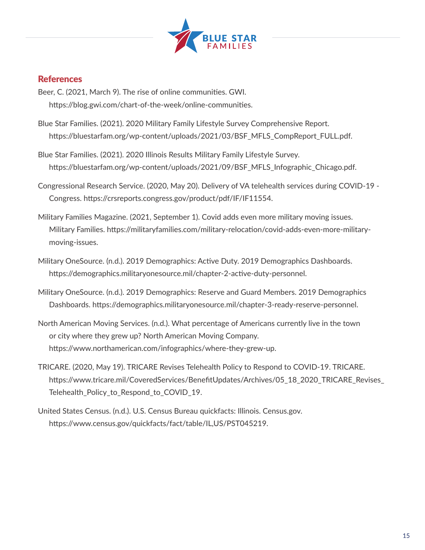

# **References**

- Beer, C. (2021, March 9). The rise of online communities. GWI. https://blog.gwi.com/chart-of-the-week/online-communities.
- Blue Star Families. (2021). 2020 Military Family Lifestyle Survey Comprehensive Report. https://bluestarfam.org/wp-content/uploads/2021/03/BSF\_MFLS\_CompReport\_FULL.pdf.
- Blue Star Families. (2021). 2020 Illinois Results Military Family Lifestyle Survey. https://bluestarfam.org/wp-content/uploads/2021/09/BSF\_MFLS\_Infographic\_Chicago.pdf.
- Congressional Research Service. (2020, May 20). Delivery of VA telehealth services during COVID-19 Congress. https://crsreports.congress.gov/product/pdf/IF/IF11554.
- Military Families Magazine. (2021, September 1). Covid adds even more military moving issues. Military Families. https://militaryfamilies.com/military-relocation/covid-adds-even-more-militarymoving-issues.
- Military OneSource. (n.d.). 2019 Demographics: Active Duty. 2019 Demographics Dashboards. https://demographics.militaryonesource.mil/chapter-2-active-duty-personnel.
- Military OneSource. (n.d.). 2019 Demographics: Reserve and Guard Members. 2019 Demographics Dashboards. https://demographics.militaryonesource.mil/chapter-3-ready-reserve-personnel.
- North American Moving Services. (n.d.). What percentage of Americans currently live in the town or city where they grew up? North American Moving Company. https://www.northamerican.com/infographics/where-they-grew-up.
- TRICARE. (2020, May 19). TRICARE Revises Telehealth Policy to Respond to COVID-19. TRICARE. https://www.tricare.mil/CoveredServices/BenefitUpdates/Archives/05\_18\_2020\_TRICARE\_Revises\_ Telehealth Policy to Respond to COVID 19.
- United States Census. (n.d.). U.S. Census Bureau quickfacts: Illinois. Census.gov. https://www.census.gov/quickfacts/fact/table/IL,US/PST045219.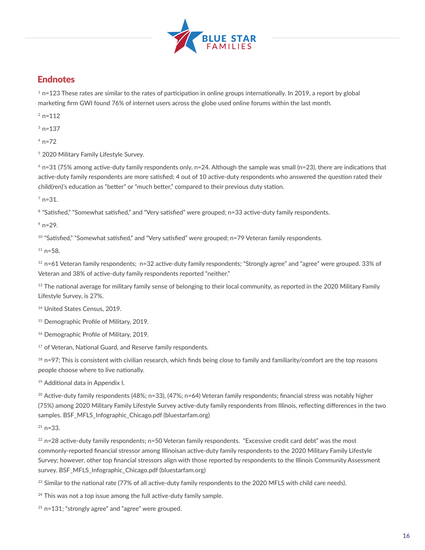

# **Endnotes**

 $1$  n=123 These rates are similar to the rates of participation in online groups internationally. In 2019, a report by global marketing firm GWI found 76% of internet users across the globe used online forums within the last month.

 $2n=112$ 

 $3n=137$ 

 $4n=72$ 

5 2020 Military Family Lifestyle Survey.

 $6$  n=31 (75% among active-duty family respondents only, n=24. Although the sample was small (n=23), there are indications that active-duty family respondents are more satisfied; 4 out of 10 active-duty respondents who answered the question rated their child(ren)'s education as "better" or "much better," compared to their previous duty station.

 $7n=31$ .

8 "Satisfied," "Somewhat satisfied," and "Very satisfied" were grouped; n=33 active-duty family respondents.

 $9n=29.$ 

 $10$  "Satisfied," "Somewhat satisfied," and "Very satisfied" were grouped;  $n=79$  Veteran family respondents.

 $11 n=58.$ 

 $12$  n=61 Veteran family respondents; n=32 active-duty family respondents; "Strongly agree" and "agree" were grouped. 33% of Veteran and 38% of active-duty family respondents reported "neither."

<sup>13</sup> The national average for military family sense of belonging to their local community, as reported in the 2020 Military Family Lifestyle Survey, is 27%.

<sup>14</sup> United States Census, 2019.

<sup>15</sup> Demographic Profile of Military, 2019.

<sup>16</sup> Demographic Profile of Military, 2019.

<sup>17</sup> of Veteran, National Guard, and Reserve family respondents.

 $18$  n=97; This is consistent with civilian research, which finds being close to family and familiarity/comfort are the top reasons people choose where to live nationally.

<sup>19</sup> Additional data in Appendix I.

 $20$  Active-duty family respondents (48%; n=33), (47%; n=64) Veteran family respondents; financial stress was notably higher (75%) among 2020 Military Family Lifestyle Survey active-duty family respondents from Illinois, reflecting differences in the two samples. BSF\_MFLS\_Infographic\_Chicago.pdf (bluestarfam.org)

 $21 n=33.$ 

 $^{22}$  n=28 active-duty family respondents; n=50 Veteran family respondents. "Excessive credit card debt" was the most commonly-reported financial stressor among Illinoisan active-duty family respondents to the 2020 Military Family Lifestyle Survey; however, other top financial stressors align with those reported by respondents to the Illinois Community Assessment survey. BSF\_MFLS\_Infographic\_Chicago.pdf (bluestarfam.org)

 $^{23}$  Similar to the national rate (77% of all active-duty family respondents to the 2020 MFLS with child care needs).

<sup>24</sup> This was not a top issue among the full active-duty family sample.

 $25$  n=131; "strongly agree" and "agree" were grouped.